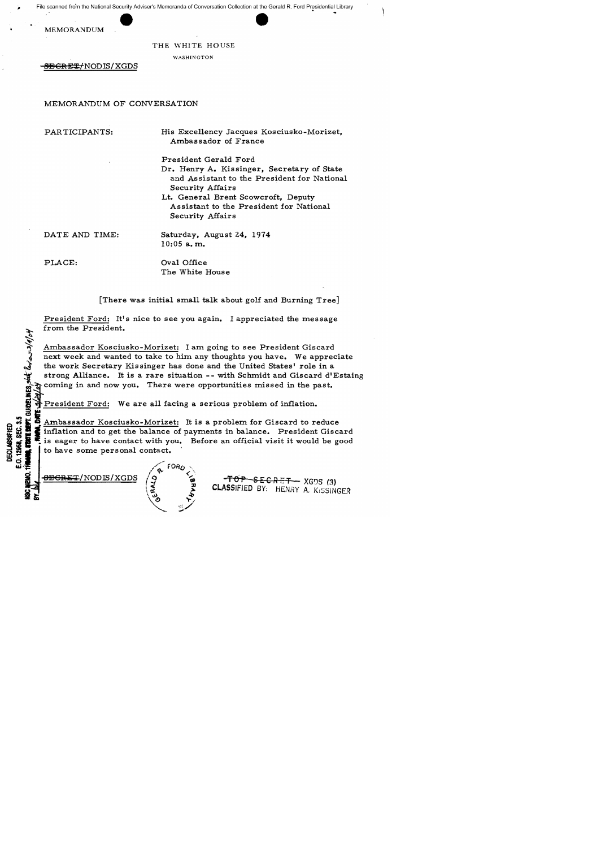File scanned from the National Security Adviser's Memoranda of Conversation Collection at the Gerald R. Ford Presidential Library

MEMORANDUM

## THE WHITE HOUSE

WASHINGTON

8BGRET/NODIS/XGDS

## MEMORANDUM OF CONVERSATION

PAR TICIPANTS:

His Excellency Jacques Kosciusko-Morizet, Ambassador of France

President Gerald Ford Dr. Henry A. Kissinger, Secretary of State and Assistant to the President for National Security Affairs Lt. General Brent Scowcroft, Deputy

Assistant to the President for National Security Affairs

DATE AND TIME:

Saturday, August 24, 1974 10:05 a. m.

PLACE:

Oval Office The White House

[There was initial small talk about golf and Burning Tree]

President Ford: It's nice to see you again. I appreciated the message from the President. ~

 $\mathcal{L}_{\mathcal{P}}$ Ambassador Kosciusko-Morizet: I am going to see President Giscard next week and wanted to take to him any thoughts you have. We appreciate the work Secretary Kissinger has done and the United States' role in a strong Alliance. It is a rare situation -- with Schmidt and Giscard d'Estaing coming in and now you. There were opportunities missed in the past.

President Ford: We are all facing a serious problem of inflation.

G : S Ambassador Kosciusko-Morizet: It is a problem for Giscard to reduce<br>
S : S : is eager to have contact with you. Before an official visit it would be got the balance of payments in balance. President Giscard is eager  $\frac{6}{10}$   $\frac{6}{10}$   $\frac{6}{10}$  Ambassador Kosciusko-Morizet: It is a problem for Giscard to reduce<br> $\frac{6}{10}$  inflation and to get the balance of payments in balance. President Giscard  $\frac{11}{30}$   $\frac{11}{30}$  inflation and to get the balance of payments in balance. President Giscard<br>  $\frac{11}{30}$   $\frac{11}{30}$  is eager to have contact with you. Before an official visit it would be good to have some personal contact.

 $\overline{\text{B}}\text{B}\text{G}\text{R}\text{E}\text{T}/\text{NOD}$  IS/XGDS



 $-TOP$  SECRET  $-$  XGDS (3) CLASSIFIED BY: HENRY A. KISSINGER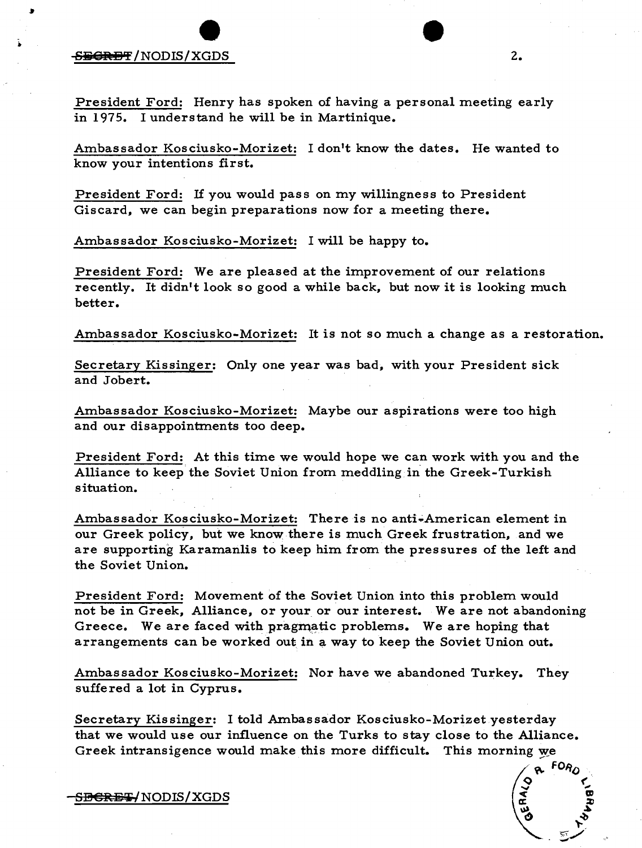## $S_{\text{B}}$ GREF /NODIS/XGDS  $2.$

President Ford: Henry has spoken of having a personal meeting early in 1975. I understand he will be in Martinique.

Ambassador Kosciusko-Morizet: I don't know the dates. He wanted to know your intentions first.

President Ford: If you would pass on my willingness to President Giscard, we can begin preparations now for a meeting there.

Ambassador Kosciusko-Morizet: I will be happy to.

President Ford: We are pleased at the improvement of our relations recently. It didn't look so good a while back, but now it is looking much better.

Ambassador Kosciusko-Morizet: It is not so much a change as a restoration.

Secretary Kissinger: Only one year was bad, with your President sick and Jobert.

Ambassador Kosciusko-Morizet: Maybe our aspirations were too high and our disappointments too deep.

President Ford: At this time we would hope we can work with you and the Alliance to keep the Soviet Union from meddling in the Greek-Turkish situation.

Ambassador Kosciusko-Morizet: There is no anti-American element in our Greek policy, but we know there is much Greek frustration, and we are supporting Karamanlis to keep him from the pres sures of the left and the Soviet Union.

President Ford: Movement of the Soviet Union into this problem would not be in Greek, Alliance, or your or our interest. We are not abandoning Greece. We are faced with pragmatic problems. We are hoping that arrangements can be worked out in a way to keep the Soviet Union out.

Ambassador Kosciusko-Morizet: Nor have we abandoned Turkey. They suffered a lot in Cyprus.

Secretary Kissinger: I told Ambassador Kosciusko-Morizet vesterday that we would use our influence on the Turks to stay close to the Alliance. Greek intransigence would make this more difficult. This morning we

S<del>BCRET/</del>NODIS/XGDS

 $FOR_C$ 

 $\mathbf{r}$ UJ  $\bm{x}$ ~

 $\leq$   $\checkmark$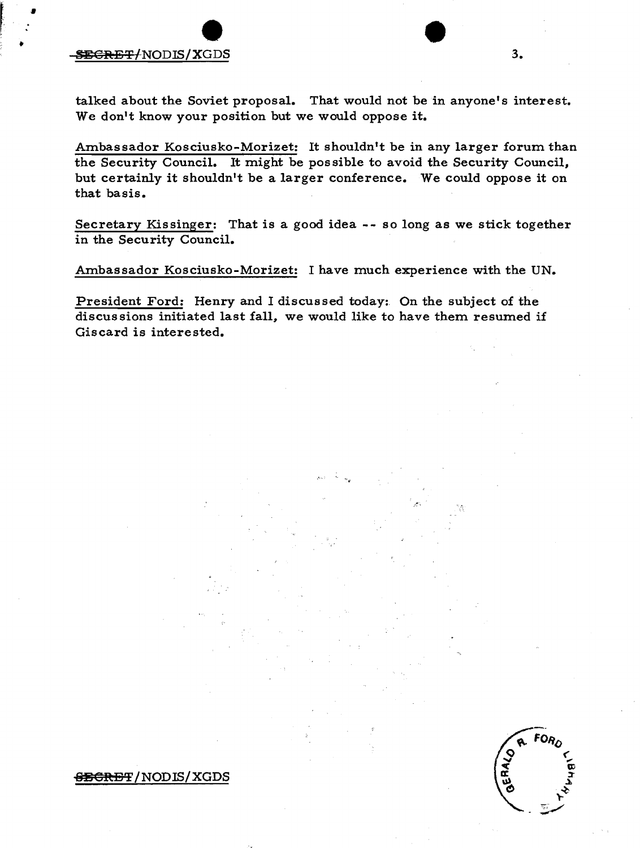## $S\text{EGREF/NODIS/XGDS}$  3.

•

t

talked about the Soviet proposal. That would not be in anyone's interest. We don't know your position but we would oppose it.

Ambassador Kosciusko-Morizet: It shouldn't be in any larger forum than the Security Council. It might be possible to avoid the Security Council, but certainly it shouldn't be a larger conference. We could oppose it on that basis.

Secretary Kissinger: That is a good idea -- so long as we stick together in the Security Council.

Ambassador Kosciusko-Morizet: I have much experience with the UN.

President Ford: Henry and I discussed today:. On the subject of the discussions initiated last fall, we would like to have them resumed if Giscard is interested.

-.

 $S$ SCRET/NODIS/XGDS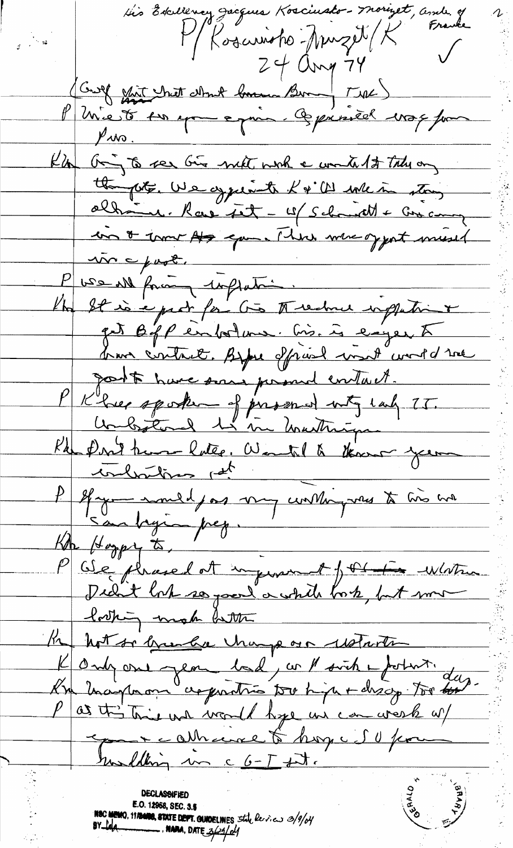this Excellency Jacques Kosciusto-Moriget, amb. of Franke M/ Kosarioho-Annzet (K Croise dont chart dans 1 dans 1 4 dans 1 8 mil 1 mil Kill Oring to see Give met work a worked to take on the pote, We appearent K & C will in story altrome. Rave fet - 19/ Schmidt + Crocomy in & trouver As eque . There were of yout musel  $\Delta v \sim \mu v \epsilon$ P wer all forcing inflation. Kho It is e pect for Go I reduce inflatint pet biff entolme. Cis. is eigen à <u>brave contract. Before offrand wordt wordd me</u> post have some personnel contait. Klier spoken of prosend utg cal 75. Klu Don't hum hatte, Wantil & thousand your Hymnand for my unting vas to his ha San beginn prez. Cle placed at injuried tot for white  $K\!\!\!\!I\!\!\!I_{\!\!P}$  (toggs to, Re hot so breake happ or waterth Kongone Jean bal, co 1 sich a fotost.<br>Ku Inanporan croporation tour high + discip tour day P as this trie we would hype we can work of eporte attrace to hoy is thou turliting un c G-T fit. BRARY<br>Comedia E.O. 12958, SEC. 3.5<br>NBC MEMO, 1180008, STATE DEPT. GUIDELINES 5the Review 3/9/04<br>BY Leg